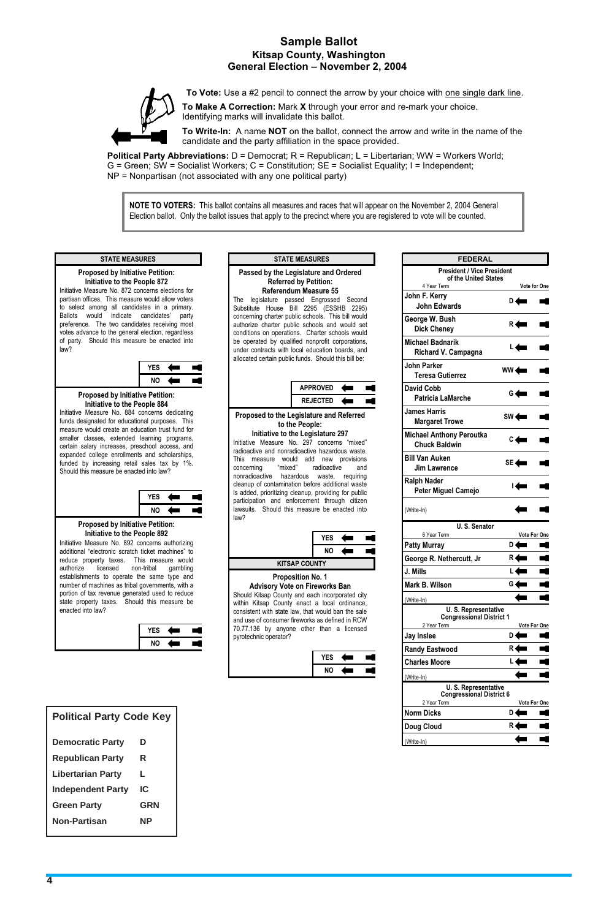*4*

# **Sample Ballot<br>Kitsap County, Washington Kitsap County, Washington General Election – November 2, 2004**

**To Vote:** Use a #2 pencil to connect the arrow by your choice with one single dark line.

**To Make A Correction:** Mark **X** through your error and re-mark your choice. Identifying marks will invalidate this ballot.

**Political Party Abbreviations:** D = Democrat; R = Republican; L = Libertarian; WW = Workers World;  $G =$  Green; SW = Socialist Workers;  $C =$  Constitution;  $SE =$  Socialist Equality; I = Independent; NP = Nonpartisan (not associated with any one political party)

**To Write-In:** A name **NOT** on the ballot, connect the arrow and write in the name of the candidate and the party affiliation in the space provided.

 **NOTE TO VOTERS:** This ballot contains all measures and races that will appear on the November 2, 2004 General Election ballot. Only the ballot issues that apply to the precinct where you are registered to vote will be counted.

### **Proposed by Initiative Petition: Initiative to the People 872**

Initiative Measure No. 872 concerns elections for partisan offices. This measure would allow voters to select among all candidates in a primary. Ballots would indicate candidates' party preference. The two candidates receiving most votes advance to the general election, regardless of party. Should this measure be enacted into law?

### **STATE MEASURES**



#### **Proposed by Initiative Petition: Initiative to the People 884**

Initiative Measure No. 884 concerns dedicating funds designated for educational purposes. This measure would create an education trust fund for smaller classes, extended learning programs, certain salary increases, preschool access, and expanded college enrollments and scholarships, funded by increasing retail sales tax by 1%. Should this measure be enacted into law?



### **Proposed by Initiative Petition: Initiative to the People 892**

Initiative Measure No. 892 concerns authorizing additional "electronic scratch ticket machines" to reduce property taxes. This measure would authorize licensed non-tribal gambling establishments to operate the same type and number of machines as tribal governments, with a portion of tax revenue generated used to reduce state property taxes. Should this measure be enacted into law?

| <b>/ES</b> |  |
|------------|--|
| NΩ         |  |

#### **STATE MEASURES Passed by the Legislature and Ordered Referred by Petition: Referendum Measure 55**  The legislature passed Engrossed Second Substitute House Bill 2295 (ESSHB 2295) concerning charter public schools. This bill would authorize charter public schools and would set conditions on operations. Charter schools would be operated by qualified nonprofit corporations, under contracts with local education boards, and allocated certain public funds. Should this bill be: **APPROVED** E. **REJECTED**  $\leftarrow$  $\blacksquare$ **Proposed to the Legislature and Referred to the People: Initiative to the Legislature 297** Initiative Measure No. 297 concerns "mixed" radioactive and nonradioactive hazardous waste. This measure would add new provisions<br>concerning "mixed" radioactive and concerning "mixed" radioactive and nonradioactive hazardous waste, requiring cleanup of contamination before additional waste is added, prioritizing cleanup, providing for public participation and enforcement through citizen lawsuits. Should this measure be enacted into law? **YES NO KITSAP COUNTY Proposition No. 1 Advisory Vote on Fireworks Ban**  Should Kitsap County and each incorporated city within Kitsap County enact a local ordinance, consistent with state law, that would ban the sale and use of consumer fireworks as defined in RCW 70.77.136 by anyone other than a licensed pyrotechnic operator?

| <b>YES</b> |  |
|------------|--|
| NΩ         |  |

| <b>FEDERAL</b>                                                         |                 |                   |                     |
|------------------------------------------------------------------------|-----------------|-------------------|---------------------|
| <b>President / Vice President</b>                                      |                 |                   |                     |
| of the United States<br>4 Year Term                                    |                 |                   | Vote for One        |
| John F. Kerry                                                          |                 |                   |                     |
| <b>John Edwards</b>                                                    |                 | D (               |                     |
| George W. Bush                                                         |                 | R <b>dem</b>      |                     |
| <b>Dick Cheney</b>                                                     |                 |                   |                     |
| <b>Michael Badnarik</b>                                                |                 |                   |                     |
| <b>Richard V. Campagna</b>                                             |                 |                   |                     |
| John Parker                                                            | $WW \leftarrow$ |                   |                     |
| <b>Teresa Gutierrez</b>                                                |                 |                   |                     |
| David Cobb<br>Patricia LaMarche                                        |                 | G <               |                     |
|                                                                        |                 |                   |                     |
| <b>James Harris</b><br><b>Margaret Trowe</b>                           |                 | $SW \leftarrow$   |                     |
|                                                                        |                 |                   |                     |
| <b>Michael Anthony Peroutka</b><br><b>Chuck Baldwin</b>                |                 | $C \leftarrow$    |                     |
| <b>Bill Van Auken</b>                                                  |                 |                   |                     |
| <b>Jim Lawrence</b>                                                    |                 | $SE$ $\leftarrow$ |                     |
| <b>Ralph Nader</b>                                                     |                 |                   |                     |
| Peter Miguel Camejo                                                    | ы               |                   |                     |
| (Write-In)                                                             |                 |                   |                     |
| U. S. Senator                                                          |                 |                   |                     |
| 6 Year Term                                                            |                 |                   | <b>Vote For One</b> |
| <b>Patty Murray</b>                                                    | D۰              |                   |                     |
| George R. Nethercutt, Jr                                               | R۰              |                   |                     |
| J. Mills                                                               | Ŀ               |                   |                     |
| Mark B. Wilson                                                         | G               |                   |                     |
| (Write-In)                                                             |                 |                   |                     |
| <b>U.S. Representative</b>                                             |                 |                   |                     |
| <b>Congressional District 1</b><br>2 Year Term                         |                 |                   | <b>Vote For One</b> |
| <b>Jay Inslee</b>                                                      | D               |                   |                     |
|                                                                        | R.              |                   |                     |
|                                                                        |                 |                   |                     |
| <b>Randy Eastwood</b>                                                  | L               |                   |                     |
| <b>Charles Moore</b>                                                   |                 |                   |                     |
| (Write-In)                                                             |                 |                   |                     |
| U. S. Representative<br><b>Congressional District 6</b><br>2 Year Term |                 |                   | Vote For One        |
| <b>Norm Dicks</b>                                                      | D               |                   |                     |
| <b>Doug Cloud</b>                                                      | R               |                   |                     |

## **Political Party Code Key**

| <b>Democratic Party</b>  | D          |
|--------------------------|------------|
| <b>Republican Party</b>  | R          |
| <b>Libertarian Party</b> | L          |
| <b>Independent Party</b> | IC         |
| <b>Green Party</b>       | <b>GRN</b> |
| <b>Non-Partisan</b>      | ΝP         |
|                          |            |